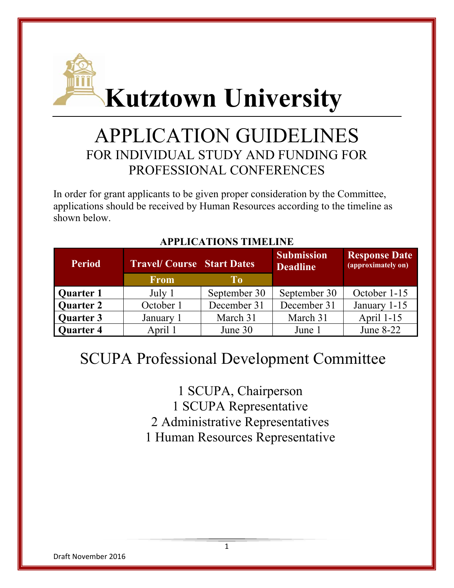

# APPLICATION GUIDELINES FOR INDIVIDUAL STUDY AND FUNDING FOR PROFESSIONAL CONFERENCES

In order for grant applicants to be given proper consideration by the Committee, applications should be received by Human Resources according to the timeline as shown below.

| <b>Period</b>    | <b>Travel/Course Start Dates</b> |              | <b>Submission</b><br><b>Deadline</b> | <b>Response Date</b><br>(approximately on) |
|------------------|----------------------------------|--------------|--------------------------------------|--------------------------------------------|
|                  | <b>From</b>                      | To           |                                      |                                            |
| <b>Quarter 1</b> | July 1                           | September 30 | September 30                         | October 1-15                               |
| <b>Quarter 2</b> | October 1                        | December 31  | December 31                          | January 1-15                               |
| <b>Quarter 3</b> | January 1                        | March 31     | March 31                             | April $1-15$                               |
| <b>Quarter 4</b> | April 1                          | June 30      | June 1                               | June 8-22                                  |

## **APPLICATIONS TIMELINE**

# SCUPA Professional Development Committee

1 SCUPA, Chairperson 1 SCUPA Representative 2 Administrative Representatives 1 Human Resources Representative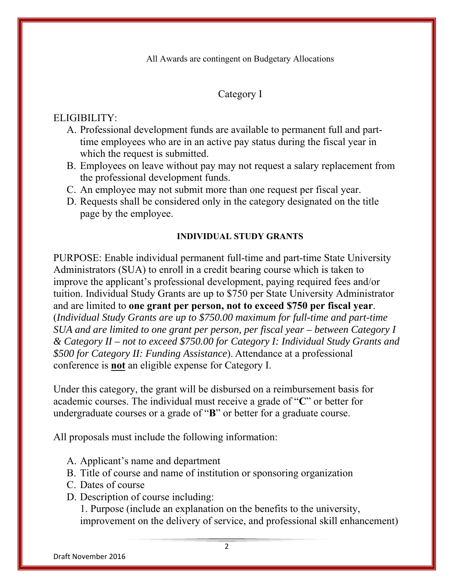All Awards are contingent on Budgetary Allocations

### Category I

ELIGIBILITY:

- A. Professional development funds are available to permanent full and parttime employees who are in an active pay status during the fiscal year in which the request is submitted.
- B. Employees on leave without pay may not request a salary replacement from the professional development funds.
- C. An employee may not submit more than one request per fiscal year.
- D. Requests shall be considered only in the category designated on the title page by the employee.

#### **INDIVIDUAL STUDY GRANTS**

PURPOSE: Enable individual permanent full-time and part-time State University Administrators (SUA) to enroll in a credit bearing course which is taken to improve the applicant's professional development, paying required fees and/or tuition. Individual Study Grants are up to \$750 per State University Administrator and are limited to **one grant per person, not to exceed \$750 per fiscal year**. (*Individual Study Grants are up to \$750.00 maximum for full-time and part-time SUA and are limited to one grant per person, per fiscal year – between Category I & Category II – not to exceed \$750.00 for Category I: Individual Study Grants and \$500 for Category II: Funding Assistance*). Attendance at a professional conference is **not** an eligible expense for Category I.

Under this category, the grant will be disbursed on a reimbursement basis for academic courses. The individual must receive a grade of "**C**" or better for undergraduate courses or a grade of "**B**" or better for a graduate course.

All proposals must include the following information:

- A. Applicant's name and department
- B. Title of course and name of institution or sponsoring organization
- C. Dates of course
- D. Description of course including:

1. Purpose (include an explanation on the benefits to the university, improvement on the delivery of service, and professional skill enhancement)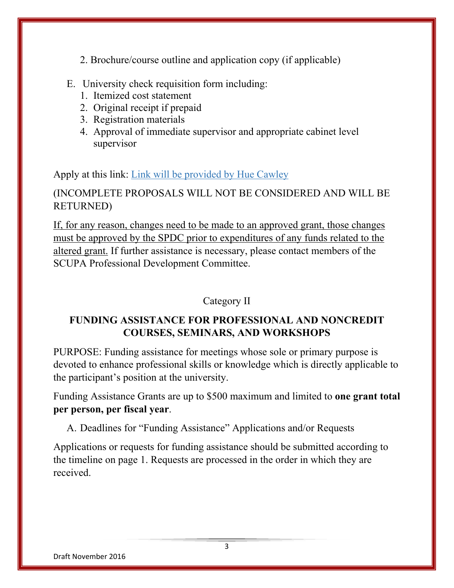- 2. Brochure/course outline and application copy (if applicable)
- E. University check requisition form including:
	- 1. Itemized cost statement
	- 2. Original receipt if prepaid
	- 3. Registration materials
	- 4. Approval of immediate supervisor and appropriate cabinet level supervisor

Apply at this link: Link will be provided by Hue Cawley

(INCOMPLETE PROPOSALS WILL NOT BE CONSIDERED AND WILL BE RETURNED)

If, for any reason, changes need to be made to an approved grant, those changes must be approved by the SPDC prior to expenditures of any funds related to the altered grant. If further assistance is necessary, please contact members of the SCUPA Professional Development Committee.

## Category II

## **FUNDING ASSISTANCE FOR PROFESSIONAL AND NONCREDIT COURSES, SEMINARS, AND WORKSHOPS**

PURPOSE: Funding assistance for meetings whose sole or primary purpose is devoted to enhance professional skills or knowledge which is directly applicable to the participant's position at the university.

Funding Assistance Grants are up to \$500 maximum and limited to **one grant total per person, per fiscal year**.

A. Deadlines for "Funding Assistance" Applications and/or Requests

Applications or requests for funding assistance should be submitted according to the timeline on page 1. Requests are processed in the order in which they are received.